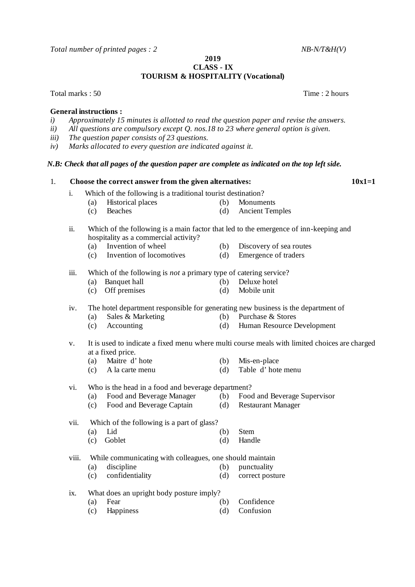*Total number of printed pages : 2 NB-N/T&H(V)* 

**2019**

## **CLASS - IX TOURISM & HOSPITALITY (Vocational)**

Total marks : 50 Time : 2 hours

## **General instructions :**<br>*i*) Approximately 15

- *i) Approximately 15 minutes is allotted to read the question paper and revise the answers.*
- *ii) All questions are compulsory except Q. nos.18 to 23 where general option is given.*
- *iii) The question paper consists of 23 questions.*
- *iv) Marks allocated to every question are indicated against it.*

## *N.B: Check that all pages of the question paper are complete as indicated on the top left side.*

| 1. |       |                                                    | Choose the correct answer from the given alternatives:                                                             |     | $10x1=1$                     |  |  |  |  |  |  |  |  |  |
|----|-------|----------------------------------------------------|--------------------------------------------------------------------------------------------------------------------|-----|------------------------------|--|--|--|--|--|--|--|--|--|
|    | i.    |                                                    | Which of the following is a traditional tourist destination?                                                       |     |                              |  |  |  |  |  |  |  |  |  |
|    |       | (a)                                                | <b>Historical places</b>                                                                                           | (b) | Monuments                    |  |  |  |  |  |  |  |  |  |
|    |       | (c)                                                | Beaches                                                                                                            | (d) | <b>Ancient Temples</b>       |  |  |  |  |  |  |  |  |  |
|    | ii.   | hospitality as a commercial activity?              | Which of the following is a main factor that led to the emergence of inn-keeping and                               |     |                              |  |  |  |  |  |  |  |  |  |
|    |       | (a)                                                | Invention of wheel                                                                                                 | (b) | Discovery of sea routes      |  |  |  |  |  |  |  |  |  |
|    |       | (c)                                                | Invention of locomotives                                                                                           | (d) | Emergence of traders         |  |  |  |  |  |  |  |  |  |
|    | iii.  |                                                    | Which of the following is <i>not</i> a primary type of catering service?                                           |     |                              |  |  |  |  |  |  |  |  |  |
|    |       | (a)                                                | Banquet hall                                                                                                       | (b) | Deluxe hotel                 |  |  |  |  |  |  |  |  |  |
|    |       | (c)                                                | Off premises                                                                                                       | (d) | Mobile unit                  |  |  |  |  |  |  |  |  |  |
|    | iv.   |                                                    | The hotel department responsible for generating new business is the department of                                  |     |                              |  |  |  |  |  |  |  |  |  |
|    |       | (a)                                                | Sales & Marketing                                                                                                  | (b) | Purchase & Stores            |  |  |  |  |  |  |  |  |  |
|    |       | (c)                                                | Accounting                                                                                                         | (d) | Human Resource Development   |  |  |  |  |  |  |  |  |  |
|    | V.    |                                                    | It is used to indicate a fixed menu where multi course meals with limited choices are charged<br>at a fixed price. |     |                              |  |  |  |  |  |  |  |  |  |
|    |       | (a)                                                | Maitre d'hote                                                                                                      | (b) | Mis-en-place                 |  |  |  |  |  |  |  |  |  |
|    |       | (c)                                                | A la carte menu                                                                                                    | (d) | Table d'hote menu            |  |  |  |  |  |  |  |  |  |
|    | vi.   | Who is the head in a food and beverage department? |                                                                                                                    |     |                              |  |  |  |  |  |  |  |  |  |
|    |       | (a)                                                | Food and Beverage Manager                                                                                          | (b) | Food and Beverage Supervisor |  |  |  |  |  |  |  |  |  |
|    |       | (c)                                                | Food and Beverage Captain                                                                                          | (d) | <b>Restaurant Manager</b>    |  |  |  |  |  |  |  |  |  |
|    | vii.  | Which of the following is a part of glass?         |                                                                                                                    |     |                              |  |  |  |  |  |  |  |  |  |
|    |       | (a)                                                | Lid                                                                                                                | (b) | Stem                         |  |  |  |  |  |  |  |  |  |
|    |       | (c)                                                | Goblet                                                                                                             | (d) | Handle                       |  |  |  |  |  |  |  |  |  |
|    | viii. |                                                    | While communicating with colleagues, one should maintain                                                           |     |                              |  |  |  |  |  |  |  |  |  |
|    |       | (a)                                                | discipline                                                                                                         | (b) | punctuality                  |  |  |  |  |  |  |  |  |  |
|    |       | (c)                                                | confidentiality                                                                                                    | (d) | correct posture              |  |  |  |  |  |  |  |  |  |
|    | ix.   | What does an upright body posture imply?           |                                                                                                                    |     |                              |  |  |  |  |  |  |  |  |  |
|    |       | (a)                                                | Fear                                                                                                               | (b) | Confidence                   |  |  |  |  |  |  |  |  |  |
|    |       | (c)                                                | Happiness                                                                                                          | (d) | Confusion                    |  |  |  |  |  |  |  |  |  |
|    |       |                                                    |                                                                                                                    |     |                              |  |  |  |  |  |  |  |  |  |